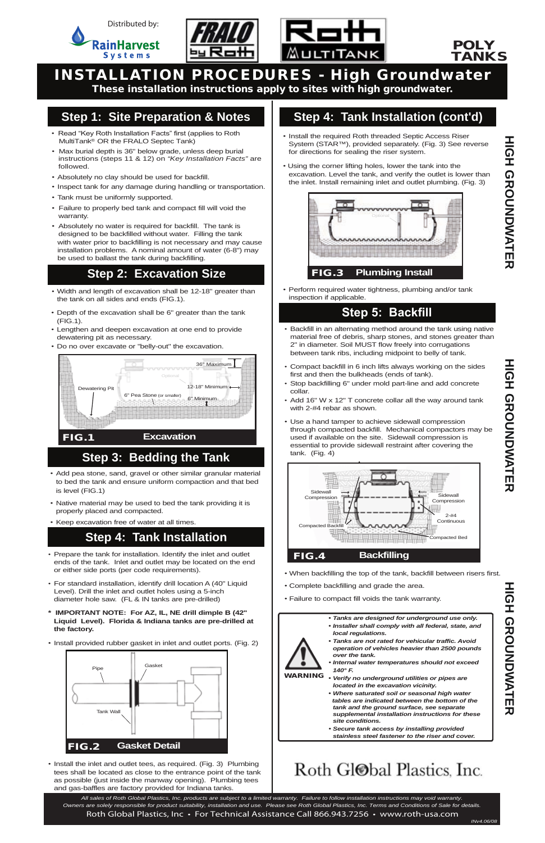

- *•* Width and length of excavation shall be 12-18" greater than the tank on all sides and ends (FIG.1).
- Depth of the excavation shall be 6" greater than the tank (FIG.1).
- Lengthen and deepen excavation at one end to provide dewatering pit as necessary.
- Do no over excavate or "belly-out" the excavation.

WARNING

요<br>고

*• Tanks are designed for underground use only.*

- 
- *• Installer shall comply with all federal, state, and local regulations.*
- *• Tanks are not rated for vehicular traffic. Avoid operation of vehicles heavier than 2500 pounds over the tank.*
- *• Internal water temperatures should not exceed 140° F.*
- *• Verify no underground utilities or pipes are located in the excavation vicinity.*
- *• Where saturated soil or seasonal high water tables are indicated between the bottom of the tank and the ground surface, see separate supplemental installation instructions for these site conditions.*
- *• Secure tank access by installing provided stainless steel fastener to the riser and cover.*

## Roth Gl<sup>ob</sup>al Plastics, Inc.



# INSTALLATION PROCEDURES - High Groundwater

These installation instructions apply to sites with high groundwater.

#### **Step 1: Site Preparation & Notes**

- Install the required Roth threaded Septic Access Riser System (STAR™), provided separately. (Fig. 3) See reverse for directions for sealing the riser system.
- Using the corner lifting holes, lower the tank into the excavation. Level the tank, and verify the outlet is lower than the inlet. Install remaining inlet and outlet plumbing. (Fig. 3)

#### **Step 2: Excavation Size**

#### **Step 5: Backfill**

- Prepare the tank for installation. Identify the inlet and outlet ends of the tank. Inlet and outlet may be located on the end or either side ports (per code requirements).
- For standard installation, identify drill location A (40" Liquid Level). Drill the inlet and outlet holes using a 5-inch diameter hole saw. (FL & IN tanks are pre-drilled)
- **\* IMPORTANT NOTE: For AZ, IL, NE drill dimple B (42"**

• Install provided rubber gasket in inlet and outlet ports. (Fig. 2)

*•* Install the inlet and outlet tees, as required. (Fig. 3) Plumbing tees shall be located as close to the entrance point of the tank as possible (just inside the manway opening). Plumbing tees and gas-baffles are factory provided for Indiana tanks.



**HIGH GROUNDWATER** 

#### **Step 4: Tank Installation (cont'd)**

#### **Step 4: Tank Installation**

• Perform required water tightness, plumbing and/or tank inspection if applicable.

- Backfill in an alternating method around the tank using native material free of debris, sharp stones, and stones greater than 2" in diameter. Soil MUST flow freely into corrugations between tank ribs, including midpoint to belly of tank.
- Compact backfill in 6 inch lifts always working on the sides first and then the bulkheads (ends of tank).
- Stop backfilling 6" under mold part-line and add concrete collar.
- Add 16" W x 12" T concrete collar all the way around tank with 2-#4 rebar as shown.
- Use a hand tamper to achieve sidewall compression through compacted backfill. Mechanical compactors may be used if available on the site. Sidewall compression is essential to provide sidewall restraint after covering the tank. (Fig. 4)

- When backfilling the top of the tank, backfill between risers first.
- Complete backfilling and grade the area.
- Failure to compact fill voids the tank warranty.
- *•* Add pea stone, sand, gravel or other similar granular material to bed the tank and ensure uniform compaction and that bed is level (FIG.1)
- Native material may be used to bed the tank providing it is properly placed and compacted.
- Keep excavation free of water at all times.

### **Step 3: Bedding the Tank**



 *Owners are solely responsible for product suitability, installation and use. Please see Roth Global Plastics, Inc. Terms and Conditions of Sale for details. All sales of Roth Global Plastics, Inc. products are subject to a limited warranty. Failure to follow installation instructions may void warranty.* Roth Global Plastics, Inc • For Technical Assistance Call 866.943.7256 • www.roth-usa.com



- Read "Key Roth Installation Facts" first (applies to Roth MultiTank<sup>®</sup> OR the FRALO Septec Tank)
- Max burial depth is 36" below grade, unless deep burial instructions (steps 11 & 12) on *"Key Installation Facts"* are followed.
- Absolutely no clay should be used for backfill.
- Inspect tank for any damage during handling or transportation.
- Tank must be uniformly supported.
- Failure to properly bed tank and compact fill will void the warranty.
- Absolutely no water is required for backfill. The tank is designed to be backfilled without water. Filling the tank with water prior to backfilling is not necessary and may cause installation problems. A nominal amount of water (6-8") may be used to ballast the tank during backfilling.